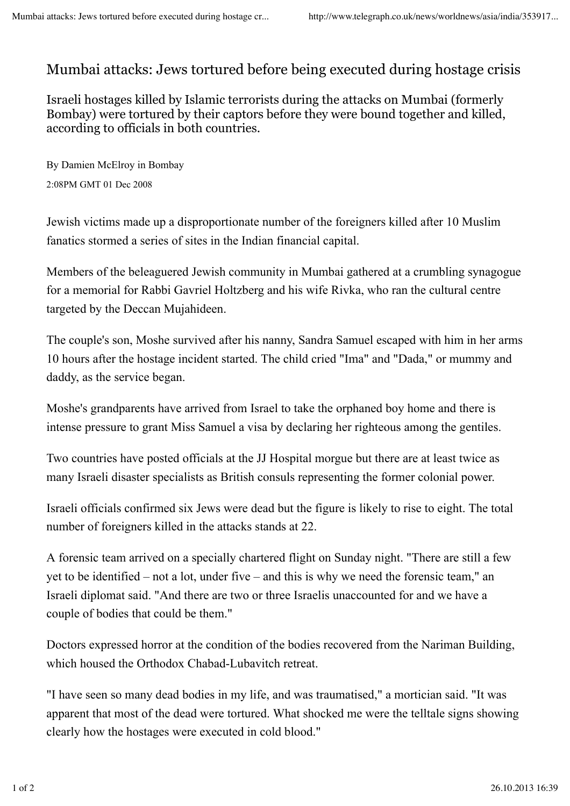## Mumbai attacks: Jews tortured before being executed during hostage crisis

Israeli hostages killed by Islamic terrorists during the attacks on Mumbai (formerly Bombay) were tortured by their captors before they were bound together and killed, according to officials in both countries.

By Damien McElroy in Bombay 2:08PM GMT 01 Dec 2008

Jewish victims made up a disproportionate number of the foreigners killed after 10 Muslim fanatics stormed a series of sites in the Indian financial capital.

Members of the beleaguered Jewish community in Mumbai gathered at a crumbling synagogue for a memorial for Rabbi Gavriel Holtzberg and his wife Rivka, who ran the cultural centre targeted by the Deccan Mujahideen.

The couple's son, Moshe survived after his nanny, Sandra Samuel escaped with him in her arms 10 hours after the hostage incident started. The child cried "Ima" and "Dada," or mummy and daddy, as the service began.

Moshe's grandparents have arrived from Israel to take the orphaned boy home and there is intense pressure to grant Miss Samuel a visa by declaring her righteous among the gentiles.

Two countries have posted officials at the JJ Hospital morgue but there are at least twice as many Israeli disaster specialists as British consuls representing the former colonial power.

Israeli officials confirmed six Jews were dead but the figure is likely to rise to eight. The total number of foreigners killed in the attacks stands at 22.

A forensic team arrived on a specially chartered flight on Sunday night. "There are still a few yet to be identified – not a lot, under five – and this is why we need the forensic team," an Israeli diplomat said. "And there are two or three Israelis unaccounted for and we have a couple of bodies that could be them."

Doctors expressed horror at the condition of the bodies recovered from the Nariman Building, which housed the Orthodox Chabad-Lubavitch retreat.

"I have seen so many dead bodies in my life, and was traumatised," a mortician said. "It was apparent that most of the dead were tortured. What shocked me were the telltale signs showing clearly how the hostages were executed in cold blood."